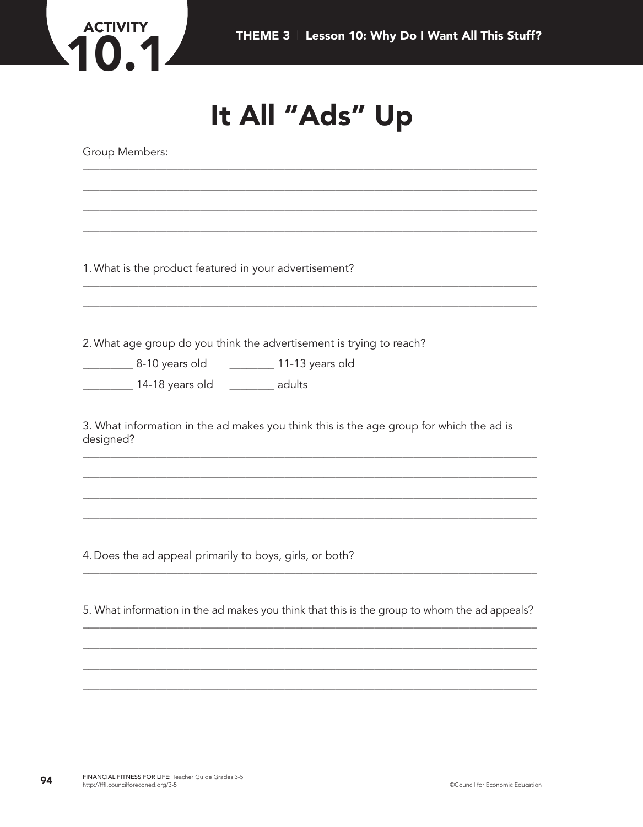

## It All "Ads" Up

Group Members:

1. What is the product featured in your advertisement?

2. What age group do you think the advertisement is trying to reach?

\_\_\_\_\_\_\_\_\_\_\_\_\_\_ 14-18 years old \_\_\_\_\_\_\_\_\_\_\_ adults

3. What information in the ad makes you think this is the age group for which the ad is designed?

4. Does the ad appeal primarily to boys, girls, or both?

5. What information in the ad makes you think that this is the group to whom the ad appeals?